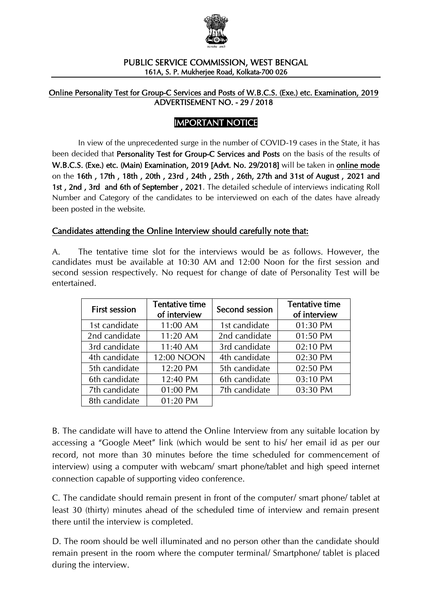

#### PUBLIC SERVICE COMMISSION, WEST BENGAL 161A, S. P. Mukherjee Road, Kolkata-700 026

#### Online Personality Test for Group-C Services and Posts of W.B.C.S. (Exe.) etc. Examination, 2019 ADVERTISEMENT NO. - 29 / 2018

### IMPORTANT NOTICE

In view of the unprecedented surge in the number of COVID-19 cases in the State, it has been decided that Personality Test for Group-C Services and Posts on the basis of the results of W.B.C.S. (Exe.) etc. (Main) Examination, 2019 [Advt. No. 29/2018] will be taken in online mode on the 16th , 17th , 18th , 20th , 23rd , 24th , 25th , 26th, 27th and 31st of August , 2021 and 1st , 2nd , 3rd and 6th of September , 2021. The detailed schedule of interviews indicating Roll Number and Category of the candidates to be interviewed on each of the dates have already been posted in the website.

### Candidates attending the Online Interview should carefully note that:

A. The tentative time slot for the interviews would be as follows. However, the candidates must be available at 10:30 AM and 12:00 Noon for the first session and second session respectively. No request for change of date of Personality Test will be entertained.

| <b>First session</b> | <b>Tentative time</b><br>Second session<br>of interview |               | Tentative time<br>of interview |
|----------------------|---------------------------------------------------------|---------------|--------------------------------|
| 1st candidate        | 11:00 AM                                                | 1st candidate | 01:30 PM                       |
| 2nd candidate        | 11:20 AM                                                | 2nd candidate | 01:50 PM                       |
| 3rd candidate        | 11:40 AM                                                | 3rd candidate | 02:10 PM                       |
| 4th candidate        | 12:00 NOON                                              | 4th candidate | 02:30 PM                       |
| 5th candidate        | 12:20 PM                                                | 5th candidate | 02:50 PM                       |
| 6th candidate        | 12:40 PM                                                | 6th candidate | 03:10 PM                       |
| 7th candidate        | 01:00 PM                                                | 7th candidate | 03:30 PM                       |
| 8th candidate        | 01:20 PM                                                |               |                                |

B. The candidate will have to attend the Online Interview from any suitable location by accessing a "Google Meet" link (which would be sent to his/ her email id as per our record, not more than 30 minutes before the time scheduled for commencement of interview) using a computer with webcam/ smart phone/tablet and high speed internet connection capable of supporting video conference.

C. The candidate should remain present in front of the computer/ smart phone/ tablet at least 30 (thirty) minutes ahead of the scheduled time of interview and remain present there until the interview is completed.

D. The room should be well illuminated and no person other than the candidate should remain present in the room where the computer terminal/ Smartphone/ tablet is placed during the interview.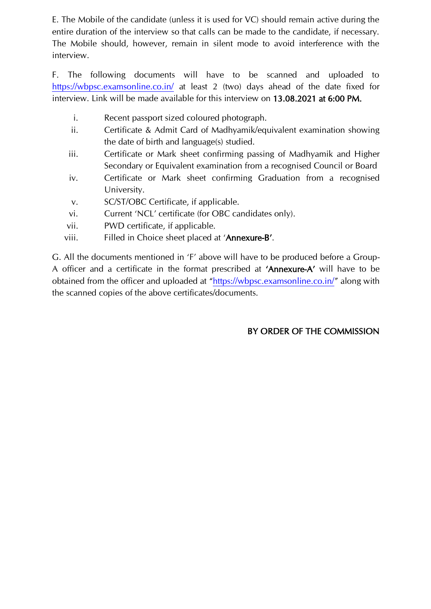E. The Mobile of the candidate (unless it is used for VC) should remain active during the entire duration of the interview so that calls can be made to the candidate, if necessary. The Mobile should, however, remain in silent mode to avoid interference with the interview.

F. The following documents will have to be scanned and uploaded to <https://wbpsc.examsonline.co.in/> at least 2 (two) days ahead of the date fixed for interview. Link will be made available for this interview on 13.08.2021 at 6:00 PM.

- i. Recent passport sized coloured photograph.
- ii. Certificate & Admit Card of Madhyamik/equivalent examination showing the date of birth and language(s) studied.
- iii. Certificate or Mark sheet confirming passing of Madhyamik and Higher Secondary or Equivalent examination from a recognised Council or Board
- iv. Certificate or Mark sheet confirming Graduation from a recognised University.
- v. SC/ST/OBC Certificate, if applicable.
- vi. Current 'NCL' certificate (for OBC candidates only).
- vii. PWD certificate, if applicable.
- viii. Filled in Choice sheet placed at 'Annexure-B'.

G. All the documents mentioned in 'F' above will have to be produced before a Group-A officer and a certificate in the format prescribed at 'Annexure-A' will have to be obtained from the officer and uploaded at "<https://wbpsc.examsonline.co.in/>" along with the scanned copies of the above certificates/documents.

## BY ORDER OF THE COMMISSION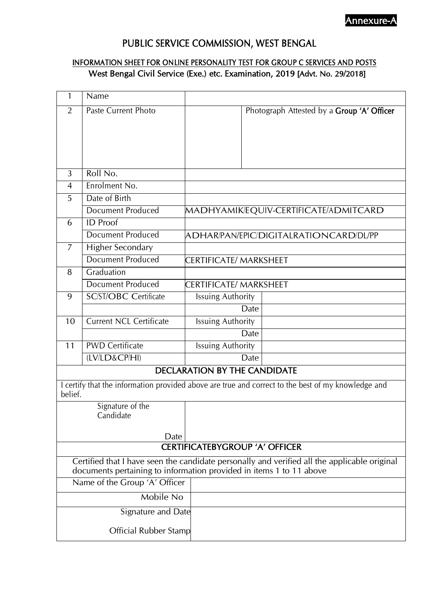## Annexure-A

# PUBLIC SERVICE COMMISSION, WEST BENGAL

### INFORMATION SHEET FOR ONLINE PERSONALITY TEST FOR GROUP C SERVICES AND POSTS West Bengal Civil Service (Exe.) etc. Examination, 2019 [Advt. No. 29/2018]

| 1                                                                                            | Name                                                                |                                        |                                                                                                    |  |  |
|----------------------------------------------------------------------------------------------|---------------------------------------------------------------------|----------------------------------------|----------------------------------------------------------------------------------------------------|--|--|
| $\overline{2}$                                                                               | Paste Current Photo                                                 |                                        | Photograph Attested by a Group 'A' Officer                                                         |  |  |
|                                                                                              |                                                                     |                                        |                                                                                                    |  |  |
|                                                                                              |                                                                     |                                        |                                                                                                    |  |  |
|                                                                                              |                                                                     |                                        |                                                                                                    |  |  |
|                                                                                              |                                                                     |                                        |                                                                                                    |  |  |
| 3                                                                                            | Roll No.                                                            |                                        |                                                                                                    |  |  |
| $\overline{4}$                                                                               | Enrolment No.                                                       |                                        |                                                                                                    |  |  |
| 5                                                                                            | Date of Birth                                                       |                                        |                                                                                                    |  |  |
|                                                                                              | <b>Document Produced</b>                                            |                                        | MADHYAMIK/EQUIV-CERTIFICATE/ADMITCARD                                                              |  |  |
| 6                                                                                            | <b>ID</b> Proof                                                     |                                        |                                                                                                    |  |  |
|                                                                                              | <b>Document Produced</b>                                            | ADHAR/PAN/EPIC/DIGITALRATIONCARD/DL/PP |                                                                                                    |  |  |
| 7                                                                                            | <b>Higher Secondary</b>                                             |                                        |                                                                                                    |  |  |
|                                                                                              | <b>Document Produced</b>                                            | CERTIFICATE/ MARKSHEET                 |                                                                                                    |  |  |
| 8                                                                                            | Graduation                                                          |                                        |                                                                                                    |  |  |
|                                                                                              | <b>Document Produced</b>                                            | CERTIFICATE/ MARKSHEET                 |                                                                                                    |  |  |
| 9                                                                                            | <b>SC/ST/OBC Certificate</b>                                        | <b>Issuing Authority</b>               |                                                                                                    |  |  |
|                                                                                              |                                                                     | Date                                   |                                                                                                    |  |  |
| 10                                                                                           | <b>Current NCL Certificate</b>                                      | <b>Issuing Authority</b>               |                                                                                                    |  |  |
|                                                                                              |                                                                     | Date                                   |                                                                                                    |  |  |
| 11                                                                                           | <b>PWD Certificate</b>                                              | <b>Issuing Authority</b>               |                                                                                                    |  |  |
|                                                                                              | (LV/LD&CP/HI)                                                       | Date                                   |                                                                                                    |  |  |
|                                                                                              |                                                                     | <b>DECLARATION BY THE CANDIDATE</b>    |                                                                                                    |  |  |
|                                                                                              |                                                                     |                                        | I certify that the information provided above are true and correct to the best of my knowledge and |  |  |
| belief.                                                                                      |                                                                     |                                        |                                                                                                    |  |  |
|                                                                                              | Signature of the                                                    |                                        |                                                                                                    |  |  |
|                                                                                              | Candidate                                                           |                                        |                                                                                                    |  |  |
|                                                                                              | Date                                                                |                                        |                                                                                                    |  |  |
| <b>CERTIFICATEBYGROUP 'A' OFFICER</b>                                                        |                                                                     |                                        |                                                                                                    |  |  |
| Certified that I have seen the candidate personally and verified all the applicable original |                                                                     |                                        |                                                                                                    |  |  |
|                                                                                              | documents pertaining to information provided in items 1 to 11 above |                                        |                                                                                                    |  |  |
| Name of the Group 'A' Officer                                                                |                                                                     |                                        |                                                                                                    |  |  |
|                                                                                              | Mobile No                                                           |                                        |                                                                                                    |  |  |
| Signature and Date                                                                           |                                                                     |                                        |                                                                                                    |  |  |
|                                                                                              | <b>Official Rubber Stamp</b>                                        |                                        |                                                                                                    |  |  |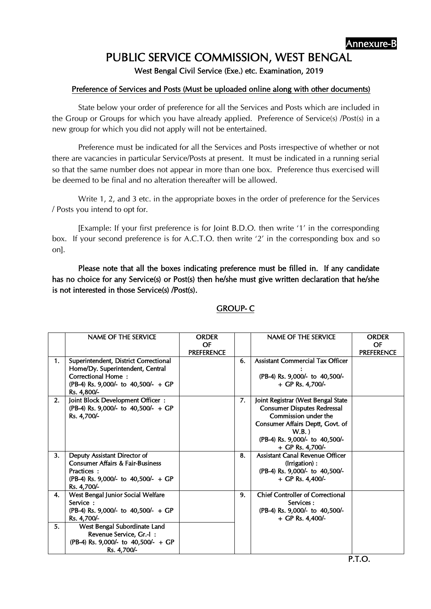# PUBLIC SERVICE COMMISSION, WEST BENGAL

West Bengal Civil Service (Exe.) etc. Examination, 2019

### Preference of Services and Posts (Must be uploaded online along with other documents)

State below your order of preference for all the Services and Posts which are included in the Group or Groups for which you have already applied. Preference of Service(s) /Post(s) in a new group for which you did not apply will not be entertained.

Preference must be indicated for all the Services and Posts irrespective of whether or not there are vacancies in particular Service/Posts at present. It must be indicated in a running serial so that the same number does not appear in more than one box. Preference thus exercised will be deemed to be final and no alteration thereafter will be allowed.

Write 1, 2, and 3 etc. in the appropriate boxes in the order of preference for the Services / Posts you intend to opt for.

[Example: If your first preference is for Joint B.D.O. then write '1' in the corresponding box. If your second preference is for A.C.T.O. then write '2' in the corresponding box and so on].

Please note that all the boxes indicating preference must be filled in. If any candidate has no choice for any Service(s) or Post(s) then he/she must give written declaration that he/she is not interested in those Service(s) /Post(s).

|    | NAME OF THE SERVICE                                                                                                                                          | <b>ORDER</b><br>OF |    | NAME OF THE SERVICE                                                                                                                                                                                    | <b>ORDER</b><br>OF |
|----|--------------------------------------------------------------------------------------------------------------------------------------------------------------|--------------------|----|--------------------------------------------------------------------------------------------------------------------------------------------------------------------------------------------------------|--------------------|
| 1. | Superintendent, District Correctional<br>Home/Dy. Superintendent, Central<br><b>Correctional Home:</b><br>(PB-4) Rs. 9,000/- to 40,500/- + GP<br>Rs. 4,800/- | <b>PREFERENCE</b>  | 6. | <b>Assistant Commercial Tax Officer</b><br>(PB-4) Rs. 9,000/- to 40,500/-<br>$+$ GP Rs. 4,700/-                                                                                                        | <b>PREFERENCE</b>  |
| 2. | Joint Block Development Officer:<br>(PB-4) Rs. 9,000/- to 40,500/- + GP<br>Rs. 4,700/-                                                                       |                    | 7. | Joint Registrar (West Bengal State<br><b>Consumer Disputes Redressal</b><br>Commission under the<br>Consumer Affairs Deptt, Govt. of<br>$W.B.$ )<br>(PB-4) Rs. 9,000/- to 40,500/-<br>+ GP Rs. 4,700/- |                    |
| 3. | Deputy Assistant Director of<br><b>Consumer Affairs &amp; Fair-Business</b><br>Practices:<br>(PB-4) Rs. 9,000/- to 40,500/- + GP<br>Rs. 4,700/-              |                    | 8. | Assistant Canal Revenue Officer<br>(Irrigation):<br>(PB-4) Rs. 9,000/- to 40,500/-<br>$+$ GP Rs. 4,400/-                                                                                               |                    |
| 4. | West Bengal Junior Social Welfare<br>Service:<br>(PB-4) Rs. 9,000/- to 40,500/- + GP<br>Rs. 4,700/-                                                          |                    | 9. | <b>Chief Controller of Correctional</b><br>Services:<br>(PB-4) Rs. 9,000/- to 40,500/-<br>$+$ GP Rs. 4,400/-                                                                                           |                    |
| 5. | West Bengal Subordinate Land<br>Revenue Service, Gr.-I:<br>(PB-4) Rs. 9,000/- to 40,500/- + GP<br>Rs. 4,700/-                                                |                    |    |                                                                                                                                                                                                        |                    |